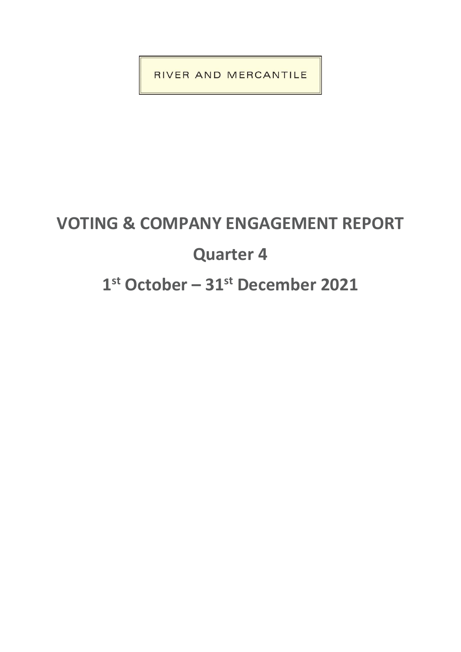RIVER AND MERCANTILE

# **VOTING & COMPANY ENGAGEMENT REPORT Quarter 4 1 st October – 31st December 2021**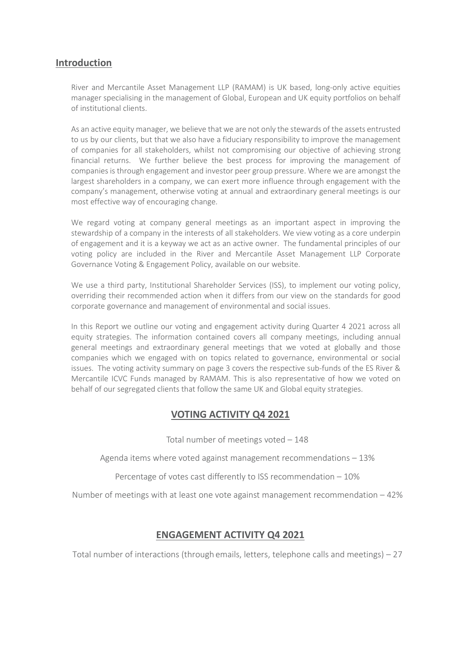## **Introduction**

River and Mercantile Asset Management LLP (RAMAM) is UK based, long-only active equities manager specialising in the management of Global, European and UK equity portfolios on behalf of institutional clients.

As an active equity manager, we believe that we are not only the stewards of the assets entrusted to us by our clients, but that we also have a fiduciary responsibility to improve the management of companies for all stakeholders, whilst not compromising our objective of achieving strong financial returns. We further believe the best process for improving the management of companies is through engagement and investor peer group pressure. Where we are amongst the largest shareholders in a company, we can exert more influence through engagement with the company's management, otherwise voting at annual and extraordinary general meetings is our most effective way of encouraging change.

We regard voting at company general meetings as an important aspect in improving the stewardship of a company in the interests of all stakeholders. We view voting as a core underpin of engagement and it is a keyway we act as an active owner. The fundamental principles of our voting policy are included in the River and Mercantile Asset Management LLP Corporate Governance Voting & Engagement Policy, available on our website.

We use a third party, Institutional Shareholder Services (ISS), to implement our voting policy, overriding their recommended action when it differs from our view on the standards for good corporate governance and management of environmental and social issues.

In this Report we outline our voting and engagement activity during Quarter 4 2021 across all equity strategies. The information contained covers all company meetings, including annual general meetings and extraordinary general meetings that we voted at globally and those companies which we engaged with on topics related to governance, environmental or social issues. The voting activity summary on page 3 covers the respective sub-funds of the ES River & Mercantile ICVC Funds managed by RAMAM. This is also representative of how we voted on behalf of our segregated clients that follow the same UK and Global equity strategies.

## **VOTING ACTIVITY Q4 2021**

Total number of meetings voted – 148

Agenda items where voted against management recommendations – 13%

Percentage of votes cast differently to ISS recommendation – 10%

Number of meetings with at least one vote against management recommendation – 42%

### **ENGAGEMENT ACTIVITY Q4 2021**

Total number of interactions (through emails, letters, telephone calls and meetings) – 27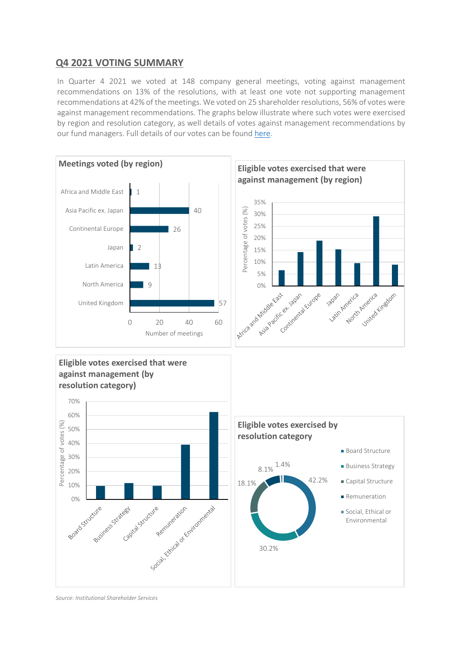## **Q4 2021 VOTING SUMMARY**

In Quarter 4 2021 we voted at 148 company general meetings, voting against management recommendations on 13% of the resolutions, with at least one vote not supporting management recommendations at 42% of the meetings. We voted on 25 shareholder resolutions, 56% of votes were against management recommendations. The graphs below illustrate where such votes were exercised by region and resolution category, as well details of votes against management recommendations by our fund managers. Full details of our votes can be found [here.](https://riverandmercantile.com/wp-content/uploads/2022/02/VoteSummaryPVT_2021Q4.pdf)



*Source: Institutional Shareholder Services*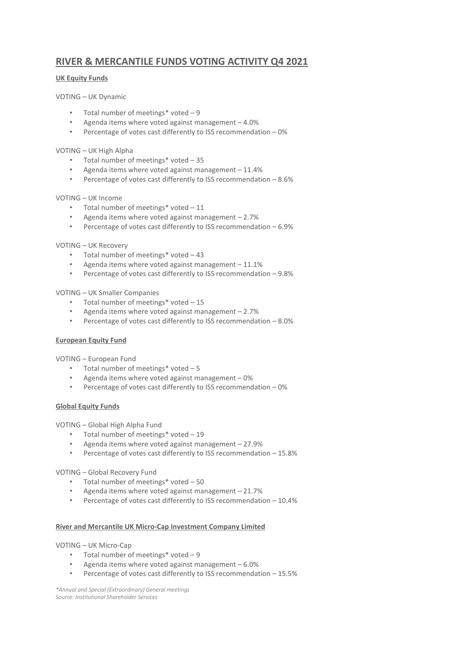## **RIVER & MERCANTILE FUNDS VOTING ACTIVITY Q4 2021**

#### **UK Equity Funds**

#### VOTING – UK Dynamic

- Total number of meetings\* voted 9
- Agenda items where voted against management 4.0%
- Percentage of votes cast differently to ISS recommendation 0%

#### VOTING – UK High Alpha

- Total number of meetings\* voted 35
- Agenda items where voted against management 11.4%
- Percentage of votes cast differently to ISS recommendation 8.6%

#### VOTING – UK Income

- Total number of meetings\* voted 11
- Agenda items where voted against management  $-2.7%$
- Percentage of votes cast differently to ISS recommendation 6.9%

#### VOTING – UK Recovery

- Total number of meetings\* voted 43
- Agenda items where voted against management 11.1%
- Percentage of votes cast differently to ISS recommendation 9.8%

VOTING – UK Smaller Companies

- Total number of meetings\* voted 15
- Agenda items where voted against management 2.7%
- Percentage of votes cast differently to ISS recommendation 8.0%

#### **European Equity Fund**

VOTING – European Fund

- Total number of meetings\* voted 5
- Agenda items where voted against management  $-0\%$
- Percentage of votes cast differently to ISS recommendation 0%

#### **Global Equity Funds**

VOTING – Global High Alpha Fund

- Total number of meetings\* voted 19
- Agenda items where voted against management 27.9%
- Percentage of votes cast differently to ISS recommendation 15.8%

#### VOTING – Global Recovery Fund

- Total number of meetings\* voted 50
- Agenda items where voted against management 21.7%
- Percentage of votes cast differently to ISS recommendation 10.4%

#### **River and Mercantile UK Micro-Cap Investment Company Limited**

#### VOTING – UK Micro-Cap

- Total number of meetings\* voted 9
- Agenda items where voted against management 6.0%
- Percentage of votes cast differently to ISS recommendation 15.5%

*\*Annual and Special (Extraordinary) General meetings Source: Institutional Shareholder Services*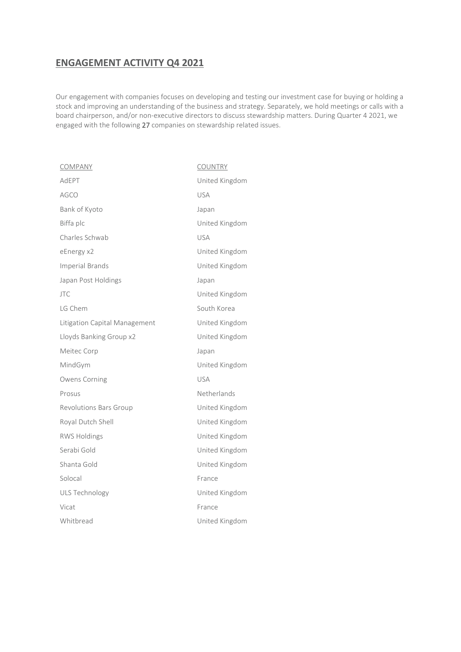# **ENGAGEMENT ACTIVITY Q4 2021**

Our engagement with companies focuses on developing and testing our investment case for buying or holding a stock and improving an understanding of the business and strategy. Separately, we hold meetings or calls with a board chairperson, and/or non-executive directors to discuss stewardship matters. During Quarter 4 2021, we engaged with the following 27 companies on stewardship related issues.

| <b>COMPANY</b>                | <b>COUNTRY</b> |
|-------------------------------|----------------|
| AdEPT                         | United Kingdom |
| <b>AGCO</b>                   | <b>USA</b>     |
| Bank of Kyoto                 | Japan          |
| Biffa plc                     | United Kingdom |
| Charles Schwab                | <b>USA</b>     |
| eEnergy x2                    | United Kingdom |
| <b>Imperial Brands</b>        | United Kingdom |
| Japan Post Holdings           | Japan          |
| <b>JTC</b>                    | United Kingdom |
| LG Chem                       | South Korea    |
| Litigation Capital Management | United Kingdom |
| Lloyds Banking Group x2       | United Kingdom |
| Meitec Corp                   | Japan          |
| MindGym                       | United Kingdom |
| Owens Corning                 | <b>USA</b>     |
| Prosus                        | Netherlands    |
| Revolutions Bars Group        | United Kingdom |
| Royal Dutch Shell             | United Kingdom |
| <b>RWS Holdings</b>           | United Kingdom |
| Serabi Gold                   | United Kingdom |
| Shanta Gold                   | United Kingdom |
| Solocal                       | France         |
| <b>ULS Technology</b>         | United Kingdom |
| Vicat                         | France         |
| Whitbread                     | United Kingdom |